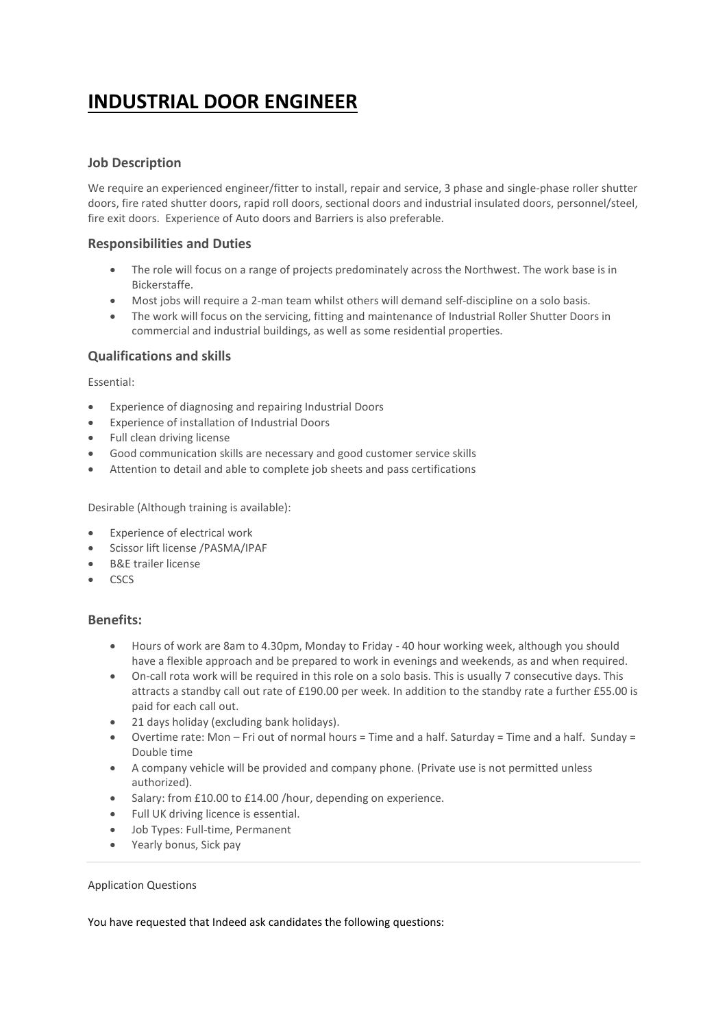# **INDUSTRIAL DOOR ENGINEER**

## **Job Description**

We require an experienced engineer/fitter to install, repair and service, 3 phase and single-phase roller shutter doors, fire rated shutter doors, rapid roll doors, sectional doors and industrial insulated doors, personnel/steel, fire exit doors. Experience of Auto doors and Barriers is also preferable.

#### **Responsibilities and Duties**

- The role will focus on a range of projects predominately across the Northwest. The work base is in Bickerstaffe.
- Most jobs will require a 2-man team whilst others will demand self-discipline on a solo basis.
- The work will focus on the servicing, fitting and maintenance of Industrial Roller Shutter Doors in commercial and industrial buildings, as well as some residential properties.

## **Qualifications and skills**

Essential:

- Experience of diagnosing and repairing Industrial Doors
- Experience of installation of Industrial Doors
- Full clean driving license
- Good communication skills are necessary and good customer service skills
- Attention to detail and able to complete job sheets and pass certifications

Desirable (Although training is available):

- Experience of electrical work
- Scissor lift license /PASMA/IPAF
- B&E trailer license
- CSCS

#### **Benefits:**

- Hours of work are 8am to 4.30pm, Monday to Friday 40 hour working week, although you should have a flexible approach and be prepared to work in evenings and weekends, as and when required.
- On-call rota work will be required in this role on a solo basis. This is usually 7 consecutive days. This attracts a standby call out rate of £190.00 per week. In addition to the standby rate a further £55.00 is paid for each call out.
- 21 days holiday (excluding bank holidays).
- Overtime rate: Mon Fri out of normal hours = Time and a half. Saturday = Time and a half. Sunday = Double time
- A company vehicle will be provided and company phone. (Private use is not permitted unless authorized).
- Salary: from £10.00 to £14.00 /hour, depending on experience.
- Full UK driving licence is essential.
- Job Types: Full-time, Permanent
- Yearly bonus, Sick pay

#### Application Questions

You have requested that Indeed ask candidates the following questions: